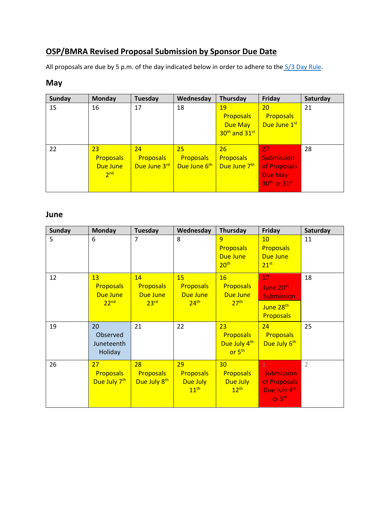## **OSP/BMRA Revised Proposal Submission by Sponsor Due Date**

All proposals are due by 5 p.m. of the day indicated below in order to adhere to the [5/3 Day Rule.](https://www.brown.edu/research/institutional-facts-reference-documents/proposal-submission-policy-guidelines)

## **May**

| <b>Sunday</b> | <b>Monday</b>    | <b>Tuesday</b>   | Wednesday                | Thursday                              | Friday                               | Saturday |
|---------------|------------------|------------------|--------------------------|---------------------------------------|--------------------------------------|----------|
| 15            | 16               | 17               | 18                       | 19<br><b>Proposals</b>                | 20<br><b>Proposals</b>               | 21       |
|               |                  |                  |                          | Due May                               | Due June 1st                         |          |
|               |                  |                  |                          | 30 <sup>th</sup> and 31 <sup>st</sup> |                                      |          |
| 22            | 23               | 24               | 25                       | 26                                    | 27                                   | 28       |
|               | <b>Proposals</b> | <b>Proposals</b> | <b>Proposals</b>         | <b>Proposals</b>                      | <b>Submission</b>                    |          |
|               | Due June         | Due June 3rd     | Due June 6 <sup>th</sup> | Due June 7 <sup>th</sup>              | of Proposals                         |          |
|               | 2 <sub>nd</sub>  |                  |                          |                                       | Due May                              |          |
|               |                  |                  |                          |                                       | 30 <sup>th</sup> or 31 <sup>st</sup> |          |

## **June**

| <b>Sunday</b> | <b>Monday</b>                                                 | <b>Tuesday</b>                                                | Wednesday                                              | Thursday                                                            | Friday                                                                                        | Saturday       |
|---------------|---------------------------------------------------------------|---------------------------------------------------------------|--------------------------------------------------------|---------------------------------------------------------------------|-----------------------------------------------------------------------------------------------|----------------|
| 5             | 6                                                             | $\overline{7}$                                                | 8                                                      | 9<br><b>Proposals</b><br>Due June<br>20 <sup>th</sup>               | 10<br><b>Proposals</b><br><b>Due June</b><br>$21^{st}$                                        | 11             |
| 12            | 13<br><b>Proposals</b><br><b>Due June</b><br>22 <sup>nd</sup> | 14<br><b>Proposals</b><br><b>Due June</b><br>23 <sup>rd</sup> | 15<br><b>Proposals</b><br>Due June<br>24 <sup>th</sup> | 16<br><b>Proposals</b><br>Due June<br>27 <sup>th</sup>              | 17<br>June 20 <sup>th</sup><br><b>Submission</b><br>June 28 <sup>th</sup><br><b>Proposals</b> | 18             |
| 19            | 20<br>Observed<br>Juneteenth<br>Holiday                       | 21                                                            | 22                                                     | 23<br><b>Proposals</b><br>Due July 4th<br>or 5 <sup>th</sup>        | 24<br>Proposals<br>Due July 6 <sup>th</sup>                                                   | 25             |
| 26            | 27<br><b>Proposals</b><br>Due July 7 <sup>th</sup>            | 28<br><b>Proposals</b><br>Due July 8 <sup>th</sup>            | 29<br><b>Proposals</b><br>Due July<br>11 <sup>th</sup> | 30 <sub>2</sub><br><b>Proposals</b><br>Due July<br>12 <sup>th</sup> | $\mathbf{1}$<br><b>Submission</b><br>of Proposals<br>Due July 4th<br>or $5th$                 | $\overline{2}$ |